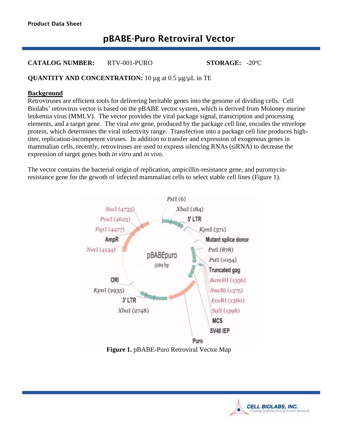# pBABE-Puro Retroviral Vector

#### **CATALOG NUMBER:** RTV-001-PURO **STORAGE:** -20ºC

### **QUANTITY AND CONCENTRATION:** 10 µg at 0.5 µg/µL in TE

#### **Background**

Retroviruses are efficient tools for delivering heritable genes into the genome of dividing cells. Cell Biolabs' retrovirus vector is based on the pBABE vector system, which is derived from Moloney murine leukemia virus (MMLV). The vector provides the viral package signal, transcription and processing elements, and a target gene. The viral *env* gene, produced by the package cell line, encodes the envelope protein, which determines the viral infectivity range. Transfection into a package cell line produces hightiter, replication-incompetent viruses. In addition to transfer and expression of exogenous genes in mammalian cells, recently, retroviruses are used to express silencing RNAs (siRNA) to decrease the expression of target genes both *in vitro* and *in vivo*.

The vector contains the bacterial origin of replication, ampicillin-resistance gene, and puromycinresistance gene for the grwoth of infected mammalian cells to select stable cell lines (Figure 1).



**Figure 1.** pBABE-Puro Retroviral Vector Map

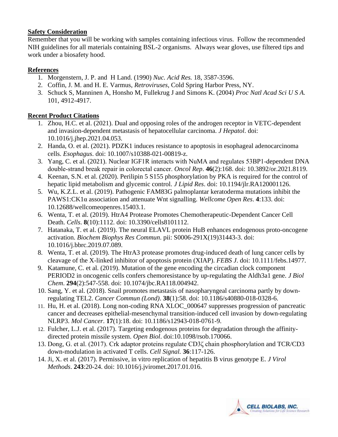#### **Safety Consideration**

Remember that you will be working with samples containing infectious virus. Follow the recommended NIH guidelines for all materials containing BSL-2 organisms. Always wear gloves, use filtered tips and work under a biosafety hood.

# **References**

- 1. Morgenstern, J. P. and H Land. (1990) *Nuc. Acid Res.* 18, 3587-3596.
- 2. Coffin, J. M. and H. E. Varmus, *Retroviruses*, Cold Spring Harbor Press, NY.
- 3. Schuck S, Manninen A, Honsho M, Fullekrug J and Simons K. (2004) *Proc Natl Acad Sci U S A.* 101, 4912-4917.

#### **Recent Product Citations**

- 1. Zhou, H.C. et al. (2021). Dual and opposing roles of the androgen receptor in VETC-dependent and invasion-dependent metastasis of hepatocellular carcinoma. *J Hepatol*. doi: 10.1016/j.jhep.2021.04.053.
- 2. Handa, O. et al. (2021). PDZK1 induces resistance to apoptosis in esophageal adenocarcinoma cells. *Esophagus*. doi: 10.1007/s10388-021-00819-z.
- 3. Yang, C. et al. (2021). Nuclear IGF1R interacts with NuMA and regulates 53BP1‑dependent DNA double‑strand break repair in colorectal cancer. *Oncol Rep*. **46**(2):168. doi: 10.3892/or.2021.8119.
- 4. Keenan, S.N. et al. (2020). Perilipin 5 S155 phosphorylation by PKA is required for the control of hepatic lipid metabolism and glycemic control. *J Lipid Res*. doi: 10.1194/jlr.RA120001126.
- 5. Wu, K.Z.L. et al. (2019). Pathogenic FAM83G palmoplantar keratoderma mutations inhibit the PAWS1:CK1α association and attenuate Wnt signalling. *Wellcome Open Res*. **4**:133. doi: 10.12688/wellcomeopenres.15403.1.
- 6. Wenta, T. et al. (2019). HtrA4 Protease Promotes Chemotherapeutic-Dependent Cancer Cell Death. *Cells*. **8**(10):1112. doi: 10.3390/cells8101112.
- 7. Hatanaka, T. et al. (2019). The neural ELAVL protein HuB enhances endogenous proto-oncogene activation. *Biochem Biophys Res Commun*. pii: S0006-291X(19)31443-3. doi: 10.1016/j.bbrc.2019.07.089.
- 8. Wenta, T. et al. (2019). The HtrA3 protease promotes drug-induced death of lung cancer cells by cleavage of the X-linked inhibitor of apoptosis protein (XIAP). *FEBS J*. doi: 10.1111/febs.14977.
- 9. Katamune, C. et al. (2019). Mutation of the gene encoding the circadian clock component PERIOD2 in oncogenic cells confers chemoresistance by up-regulating the Aldh3a1 gene. *J Biol Chem*. **294**(2):547-558. doi: 10.1074/jbc.RA118.004942.
- 10. Sang, Y. et al. (2018). Snail promotes metastasis of nasopharyngeal carcinoma partly by downregulating TEL2. *Cancer Commun (Lond)*. **38**(1):58. doi: 10.1186/s40880-018-0328-6.
- 11. Hu, H. et al. (2018). Long non-coding RNA XLOC\_000647 suppresses progression of pancreatic cancer and decreases epithelial-mesenchymal transition-induced cell invasion by down-regulating NLRP3. *Mol Cancer*. **17**(1):18. doi: 10.1186/s12943-018-0761-9.
- 12. Fulcher, L.J. et al. (2017). Targeting endogenous proteins for degradation through the affinitydirected protein missile system. *Open Biol*. doi:10.1098/rsob.170066.
- 13. Dong, G. et al. (2017). Crk adaptor proteins regulate CD3ζ chain phosphorylation and TCR/CD3 down-modulation in activated T cells. *Cell Signal.* **36**:117-126.
- 14. Ji, X. et al. (2017). Permissive, in vitro replication of hepatitis B virus genotype E. *J Virol Methods*. **243**:20-24. doi: 10.1016/j.jviromet.2017.01.016.

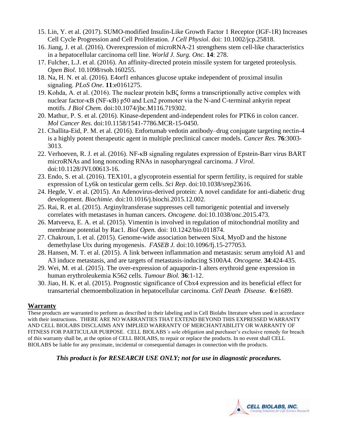- 15. Lin, Y. et al. (2017). SUMO-modified Insulin-Like Growth Factor 1 Receptor (IGF-1R) Increases Cell Cycle Progression and Cell Proliferation. *J Cell Physiol*. doi: 10.1002/jcp.25818.
- 16. Jiang, J. et al. (2016). Overexpression of microRNA-21 strengthens stem cell-like characteristics in a hepatocellular carcinoma cell line. *World J. Surg. Onc.* **14**: 278.
- 17. Fulcher, L.J. et al. (2016). An affinity-directed protein missile system for targeted proteolysis. *Open Biol*. 10.1098/rsob.160255.
- 18. Na, H. N. et al. (2016). E4orf1 enhances glucose uptake independent of proximal insulin signaling. *PLoS One*. **11**:e0161275.
- 19. Kohda, A. et al. (2016). The nuclear protein IκBζ forms a transcriptionally active complex with nuclear factor-κB (NF-κB) p50 and Lcn2 promoter via the N-and C-terminal ankyrin repeat motifs. *J Biol Chem.* doi:10.1074/jbc.M116.719302.
- 20. Mathur, P. S. et al. (2016). Kinase-dependent and-independent roles for PTK6 in colon cancer. *Mol Cancer Res*. doi:10.1158/1541-7786.MCR-15-0450.
- 21. Challita-Eid, P. M. et al. (2016). Enfortumab vedotin antibody–drug conjugate targeting nectin-4 is a highly potent therapeutic agent in multiple preclinical cancer models. *Cancer Res.* **76**:3003- 3013.
- 22. Verhoeven, R. J. et al. (2016). NF-κB signaling regulates expression of Epstein-Barr virus BART microRNAs and long noncoding RNAs in nasopharyngeal carcinoma. *J Virol*. doi:10.1128/JVI.00613-16.
- 23. Endo, S. et al. (2016). TEX101, a glycoprotein essential for sperm fertility, is required for stable expression of Ly6k on testicular germ cells. *Sci Rep*. doi:10.1038/srep23616.
- 24. Hegde, V. et al. (2015). An Adenovirus-derived protein: A novel candidate for anti-diabetic drug development. *Biochimie.* doi:10.1016/j.biochi.2015.12.002.
- 25. Rai, R. et al. (2015). Arginyltransferase suppresses cell tumorigenic potential and inversely correlates with metastases in human cancers. *Oncogene.* doi:10.1038/onc.2015.473.
- 26. Matveeva, E. A. et al. (2015). Vimentin is involved in regulation of mitochondrial motility and membrane potential by Rac1. *Biol Open.* doi: 10.1242/bio.011874.
- 27. Chakroun, I. et al. (2015). Genome-wide association between Six4, MyoD and the histone demethylase Utx during myogenesis. *FASEB J.* doi:10.1096/fj.15-277053.
- 28. Hansen, M. T. et al. (2015). A link between inflammation and metastasis: serum amyloid A1 and A3 induce metastasis, and are targets of metastasis-inducing S100A4. *Oncogene.* **34**:424-435.
- 29. Wei, M. et al. (2015). The over-expression of aquaporin-1 alters erythroid gene expression in human erythroleukemia K562 cells. *Tumour Biol.* **36**:1-12.
- 30. Jiao, H. K. et al. (2015). Prognostic significance of Cbx4 expression and its beneficial effect for transarterial chemoembolization in hepatocellular carcinoma. *Cell Death Disease.* **6**:e1689.

# **Warranty**

These products are warranted to perform as described in their labeling and in Cell Biolabs literature when used in accordance with their instructions. THERE ARE NO WARRANTIES THAT EXTEND BEYOND THIS EXPRESSED WARRANTY AND CELL BIOLABS DISCLAIMS ANY IMPLIED WARRANTY OF MERCHANTABILITY OR WARRANTY OF FITNESS FOR PARTICULAR PURPOSE. CELL BIOLABS*'s* sole obligation and purchaser's exclusive remedy for breach of this warranty shall be, at the option of CELL BIOLABS, to repair or replace the products. In no event shall CELL BIOLABS be liable for any proximate, incidental or consequential damages in connection with the products.

# *This product is for RESEARCH USE ONLY; not for use in diagnostic procedures.*